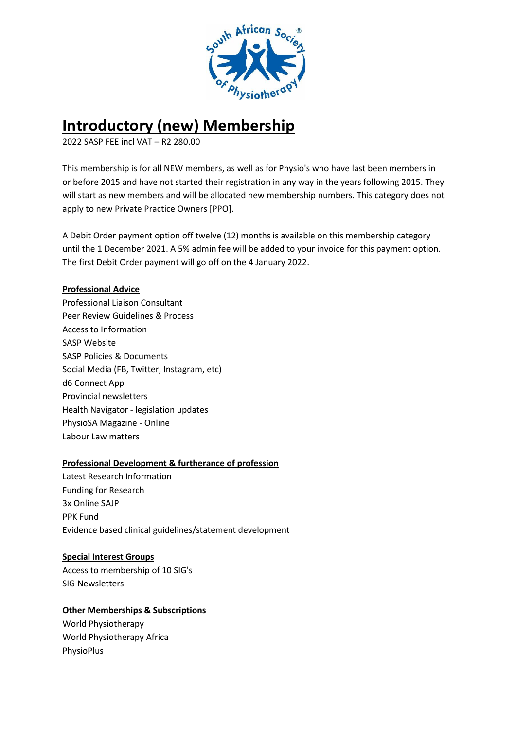

# **Introductory (new) Membership**

2022 SASP FEE incl VAT – R2 280.00

This membership is for all NEW members, as well as for Physio's who have last been members in or before 2015 and have not started their registration in any way in the years following 2015. They will start as new members and will be allocated new membership numbers. This category does not apply to new Private Practice Owners [PPO].

A Debit Order payment option off twelve (12) months is available on this membership category until the 1 December 2021. A 5% admin fee will be added to your invoice for this payment option. The first Debit Order payment will go off on the 4 January 2022.

## **Professional Advice**

Professional Liaison Consultant Peer Review Guidelines & Process Access to Information SASP Website SASP Policies & Documents Social Media (FB, Twitter, Instagram, etc) d6 Connect App Provincial newsletters Health Navigator - legislation updates PhysioSA Magazine - Online Labour Law matters

#### **Professional Development & furtherance of profession**

Latest Research Information Funding for Research 3x Online SAJP PPK Fund Evidence based clinical guidelines/statement development

#### **Special Interest Groups**

Access to membership of 10 SIG's SIG Newsletters

# **Other Memberships & Subscriptions**

World Physiotherapy World Physiotherapy Africa PhysioPlus